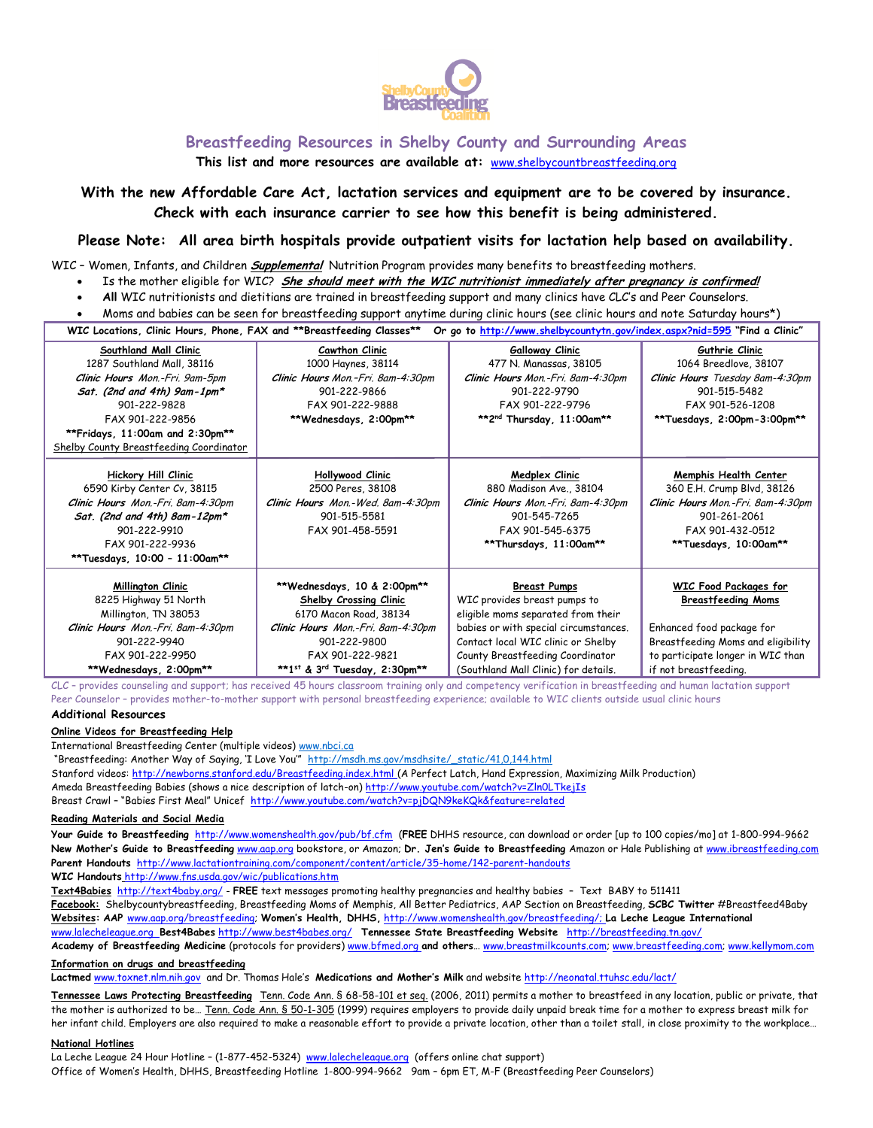

## **Breastfeeding Resources in Shelby County and Surrounding Areas**

**This list and more resources are available at:** [www.shelbycountbreastfeeding.org](http://www.shelbycountbreastfeeding.org/)

# **With the new Affordable Care Act, lactation services and equipment are to be covered by insurance. Check with each insurance carrier to see how this benefit is being administered.**

## **Please Note: All area birth hospitals provide outpatient visits for lactation help based on availability.**

WIC – Women, Infants, and Children **Supplemental** Nutrition Program provides many benefits to breastfeeding mothers.

- Is the mother eligible for WIC? **She should meet with the WIC nutritionist immediately after pregnancy is confirmed!**
- **All** WIC nutritionists and dietitians are trained in breastfeeding support and many clinics have CLC's and Peer Counselors.
- Moms and babies can be seen for breastfeeding support anytime during clinic hours (see clinic hours and note Saturday hours\*)

**WIC Locations, Clinic Hours, Phone, FAX and \*\*Breastfeeding Classes\*\* Or go to<http://www.shelbycountytn.gov/index.aspx?nid=595> "Find a Clinic"**

| Southland Mall Clinic                   | Cawthon Clinic                    | <b>Galloway Clinic</b>                | Guthrie Clinic                     |
|-----------------------------------------|-----------------------------------|---------------------------------------|------------------------------------|
| 1287 Southland Mall, 38116              | 1000 Haynes, 38114                | 477 N. Manassas, 38105                | 1064 Breedlove, 38107              |
| Clinic Hours Mon.-Fri. 9am-5pm          | Clinic Hours Mon.-Fri. 8am-4:30pm | Clinic Hours Mon.-Fri. 8am-4:30pm     | Clinic Hours Tuesday 8am-4:30pm    |
| Sat. (2nd and 4th) $9$ am-1pm*          | 901-222-9866                      | 901-222-9790                          | 901-515-5482                       |
| 901-222-9828                            | FAX 901-222-9888                  | FAX 901-222-9796                      | FAX 901-526-1208                   |
| FAX 901-222-9856                        | **Wednesdays, 2:00pm**            | **2nd Thursday, 11:00am**             | **Tuesdays, 2:00pm-3:00pm**        |
| **Fridays, 11:00am and 2:30pm**         |                                   |                                       |                                    |
| Shelby County Breastfeeding Coordinator |                                   |                                       |                                    |
|                                         |                                   |                                       |                                    |
| <b>Hickory Hill Clinic</b>              | Hollywood Clinic                  | Medplex Clinic                        | Memphis Health Center              |
| 6590 Kirby Center Cv, 38115             | 2500 Peres, 38108                 | 880 Madison Ave., 38104               | 360 E.H. Crump Blvd, 38126         |
| Clinic Hours Mon.-Fri. 8am-4:30pm       | Clinic Hours Mon.-Wed. 8am-4:30pm | Clinic Hours Mon.-Fri. 8am-4:30pm     | Clinic Hours Mon.-Fri. 8am-4:30pm  |
| Sat. (2nd and 4th) 8am-12pm*            | 901-515-5581                      | 901-545-7265                          | 901-261-2061                       |
| 901-222-9910                            | FAX 901-458-5591                  | FAX 901-545-6375                      | FAX 901-432-0512                   |
| FAX 901-222-9936                        |                                   | **Thursdays, 11:00am**                | **Tuesdays, 10:00am**              |
| **Tuesdays, 10:00 - 11:00am**           |                                   |                                       |                                    |
|                                         |                                   |                                       |                                    |
| <b>Millington Clinic</b>                | **Wednesdays, 10 & 2:00pm**       | <b>Breast Pumps</b>                   | WIC Food Packages for              |
| 8225 Highway 51 North                   | Shelby Crossing Clinic            | WIC provides breast pumps to          | <b>Breastfeeding Moms</b>          |
| Millington, TN 38053                    | 6170 Macon Road, 38134            | eligible moms separated from their    |                                    |
| Clinic Hours Mon.-Fri. 8am-4:30pm       | Clinic Hours Mon.-Fri. 8am-4:30pm | babies or with special circumstances. | Enhanced food package for          |
| 901-222-9940                            | 901-222-9800                      | Contact local WIC clinic or Shelby    | Breastfeeding Moms and eligibility |
| FAX 901-222-9950                        | FAX 901-222-9821                  | County Breastfeeding Coordinator      | to participate longer in WIC than  |
| **Wednesdays, 2:00pm**                  | **1st & 3rd Tuesday, 2:30pm**     | (Southland Mall Clinic) for details.  | if not breastfeeding.              |

CLC – provides counseling and support; has received 45 hours classroom training only and competency verification in breastfeeding and human lactation support Peer Counselor – provides mother-to-mother support with personal breastfeeding experience; available to WIC clients outside usual clinic hours

#### **Additional Resources**

**Online Videos for Breastfeeding Help**

International Breastfeeding Center (multiple videos) [www.nbci.ca](http://www.nbci.ca/)

"Breastfeeding: Another Way of Saying, 'I Love You'" [http://msdh.ms.gov/msdhsite/\\_static/41,0,144.html](http://msdh.ms.gov/msdhsite/_static/41,0,144.html) Stanford videos: <http://newborns.stanford.edu/Breastfeeding.index.html> (A Perfect Latch, Hand Expression, Maximizing Milk Production) Ameda Breastfeeding Babies (shows a nice description of latch-on[\) http://www.youtube.com/watch?v=Zln0LTkejIs](http://www.youtube.com/watch?v=Zln0LTkejIs) Breast Crawl - "Babies First Meal" Unicef <http://www.youtube.com/watch?v=pjDQN9keKQk&feature=related>

#### **Reading Materials and Social Media**

**Your Guide to Breastfeeding** <http://www.womenshealth.gov/pub/bf.cfm>(**FREE** DHHS resource, can download or order [up to 100 copies/mo] at 1-800-994-9662 **New Mother's Guide to Breastfeeding** [www.aap.org](http://www.aap.org/) bookstore, or Amazon; **Dr. Jen's Guide to Breastfeeding** Amazon or Hale Publishing a[t www.ibreastfeeding.com](http://www.ibreastfeeding.com/) **Parent Handouts**<http://www.lactationtraining.com/component/content/article/35-home/142-parent-handouts> **WIC Handouts** http://www.fns.usda.gov/wic/publications.htm

**Text4Babies**<http://text4baby.org/> - **FREE** text messages promoting healthy pregnancies and healthy babies – Text BABY to 511411 **Facebook:** Shelbycountybreastfeeding, Breastfeeding Moms of Memphis, All Better Pediatrics, AAP Section on Breastfeeding, **SCBC Twitter** #Breastfeed4Baby **Websites: AAP** [www.aap.org/breastfeeding;](http://www.aap.org/breastfeeding) **Women's Health, DHHS,** [http://www.womenshealth.gov/breastfeeding/;](http://www.womenshealth.gov/breastfeeding/) **La Leche League International** [www.lalecheleague.org](http://www.lalecheleague.org/) **Best4Babes** <http://www.best4babes.org/> **Tennessee State Breastfeeding Website** <http://breastfeeding.tn.gov/> **Academy of Breastfeeding Medicine** (protocols for providers) [www.bfmed.org](http://www.bfmed.org/) **and others**… [www.breastmilkcounts.com;](http://www.breastmilkcounts.com/) [www.breastfeeding.com;](http://www.breastfeeding.com/) [www.kellymom.com](http://www.kellymom.com/) 

### **Information on drugs and breastfeeding**

**Lactmed** [www.toxnet.nlm.nih.gov](http://www.toxnet.nlm.nih.gov/) and Dr. Thomas Hale's **Medications and Mother's Milk** and website<http://neonatal.ttuhsc.edu/lact/>

**Tennessee Laws Protecting Breastfeeding** [Tenn. Code Ann. § 68-58-101 et seq.](http://michie.lexisnexis.com/tennessee/lpext.dll?f=templates&fn=main-h.htm&cp) (2006, 2011) permits a mother to breastfeed in any location, public or private, that the mother is authorized to be… [Tenn. Code Ann. § 50-1-305](http://michie.lexisnexis.com/tennessee/lpext.dll?f=templates&fn=main-h.htm&cp) (1999) requires employers to provide daily unpaid break time for a mother to express breast milk for her infant child. Employers are also required to make a reasonable effort to provide a private location, other than a toilet stall, in close proximity to the workplace…

#### **National Hotlines**

La Leche League 24 Hour Hotline – (1-877-452-5324) [www.lalecheleague.org](http://www.lalecheleague.org/) (offers online chat support) Office of Women's Health, DHHS, Breastfeeding Hotline 1-800-994-9662 9am – 6pm ET, M-F (Breastfeeding Peer Counselors)